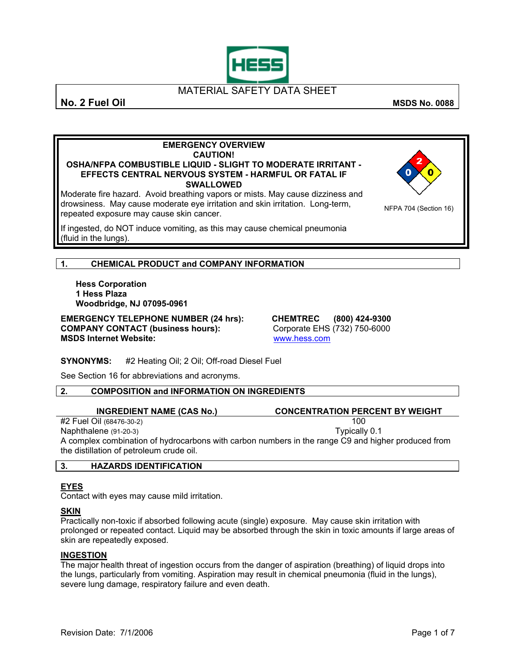

**No. 2 Fuel Oil** MSDS No. 0088

NFPA 704 (Section 16)

#### **EMERGENCY OVERVIEW CAUTION! OSHA/NFPA COMBUSTIBLE LIQUID - SLIGHT TO MODERATE IRRITANT - EFFECTS CENTRAL NERVOUS SYSTEM - HARMFUL OR FATAL IF SWALLOWED**

Moderate fire hazard. Avoid breathing vapors or mists. May cause dizziness and drowsiness. May cause moderate eye irritation and skin irritation. Long-term, repeated exposure may cause skin cancer.

If ingested, do NOT induce vomiting, as this may cause chemical pneumonia (fluid in the lungs).

### **1. CHEMICAL PRODUCT and COMPANY INFORMATION**

**Hess Corporation 1 Hess Plaza Woodbridge, NJ 07095-0961** 

**EMERGENCY TELEPHONE NUMBER (24 hrs): CHEMTREC (800) 424-9300 COMPANY CONTACT (business hours):** Corporate EHS (732) 750-6000 **MSDS Internet Website:** [www.hess.com](http://www.hess.com/)

**SYNONYMS:** #2 Heating Oil; 2 Oil; Off-road Diesel Fuel

See Section 16 for abbreviations and acronyms.

### **2. COMPOSITION and INFORMATION ON INGREDIENTS**

**INGREDIENT NAME (CAS No.) CONCENTRATION PERCENT BY WEIGHT** 

#2 Fuel Oil (68476-30-2) 100 Naphthalene  $(91-20-3)$ A complex combination of hydrocarbons with carbon numbers in the range C9 and higher produced from the distillation of petroleum crude oil.

| v. | <b>HAZARDS IDENTIFICATION</b> |  |
|----|-------------------------------|--|
|----|-------------------------------|--|

### **EYES**

Contact with eyes may cause mild irritation.

### **SKIN**

Practically non-toxic if absorbed following acute (single) exposure. May cause skin irritation with prolonged or repeated contact. Liquid may be absorbed through the skin in toxic amounts if large areas of skin are repeatedly exposed.

### **INGESTION**

The major health threat of ingestion occurs from the danger of aspiration (breathing) of liquid drops into the lungs, particularly from vomiting. Aspiration may result in chemical pneumonia (fluid in the lungs), severe lung damage, respiratory failure and even death.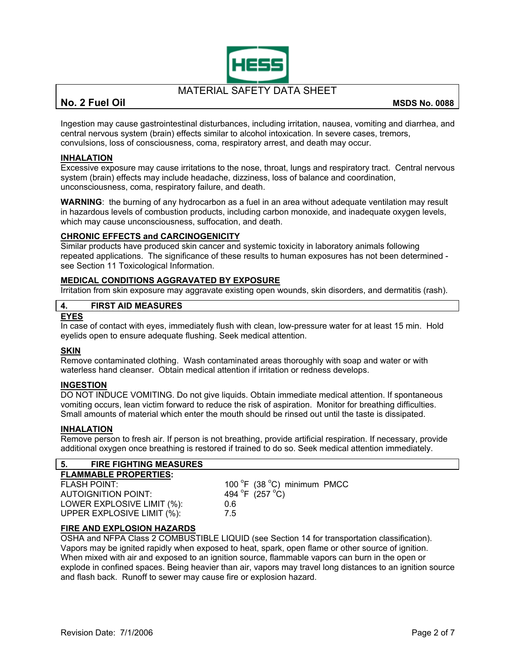

### **No. 2 Fuel Oil MSDS No. 0088**

Ingestion may cause gastrointestinal disturbances, including irritation, nausea, vomiting and diarrhea, and central nervous system (brain) effects similar to alcohol intoxication. In severe cases, tremors, convulsions, loss of consciousness, coma, respiratory arrest, and death may occur.

### **INHALATION**

Excessive exposure may cause irritations to the nose, throat, lungs and respiratory tract. Central nervous system (brain) effects may include headache, dizziness, loss of balance and coordination, unconsciousness, coma, respiratory failure, and death.

**WARNING**: the burning of any hydrocarbon as a fuel in an area without adequate ventilation may result in hazardous levels of combustion products, including carbon monoxide, and inadequate oxygen levels, which may cause unconsciousness, suffocation, and death.

### **CHRONIC EFFECTS and CARCINOGENICITY**

Similar products have produced skin cancer and systemic toxicity in laboratory animals following repeated applications. The significance of these results to human exposures has not been determined see Section 11 Toxicological Information.

### **MEDICAL CONDITIONS AGGRAVATED BY EXPOSURE**

Irritation from skin exposure may aggravate existing open wounds, skin disorders, and dermatitis (rash).

### **4. FIRST AID MEASURES**

### **EYES**

In case of contact with eyes, immediately flush with clean, low-pressure water for at least 15 min. Hold eyelids open to ensure adequate flushing. Seek medical attention.

### **SKIN**

Remove contaminated clothing. Wash contaminated areas thoroughly with soap and water or with waterless hand cleanser. Obtain medical attention if irritation or redness develops.

### **INGESTION**

DO NOT INDUCE VOMITING. Do not give liquids. Obtain immediate medical attention. If spontaneous vomiting occurs, lean victim forward to reduce the risk of aspiration. Monitor for breathing difficulties. Small amounts of material which enter the mouth should be rinsed out until the taste is dissipated.

### **INHALATION**

Remove person to fresh air. If person is not breathing, provide artificial respiration. If necessary, provide additional oxygen once breathing is restored if trained to do so. Seek medical attention immediately.

### **5. FIRE FIGHTING MEASURES**

| 100 °F (38 °C) minimum PMCC         |
|-------------------------------------|
| 494 $^{\circ}$ F (257 $^{\circ}$ C) |
| 0.6                                 |
| 75                                  |
|                                     |

### **FIRE AND EXPLOSION HAZARDS**

OSHA and NFPA Class 2 COMBUSTIBLE LIQUID (see Section 14 for transportation classification). Vapors may be ignited rapidly when exposed to heat, spark, open flame or other source of ignition. When mixed with air and exposed to an ignition source, flammable vapors can burn in the open or explode in confined spaces. Being heavier than air, vapors may travel long distances to an ignition source and flash back. Runoff to sewer may cause fire or explosion hazard.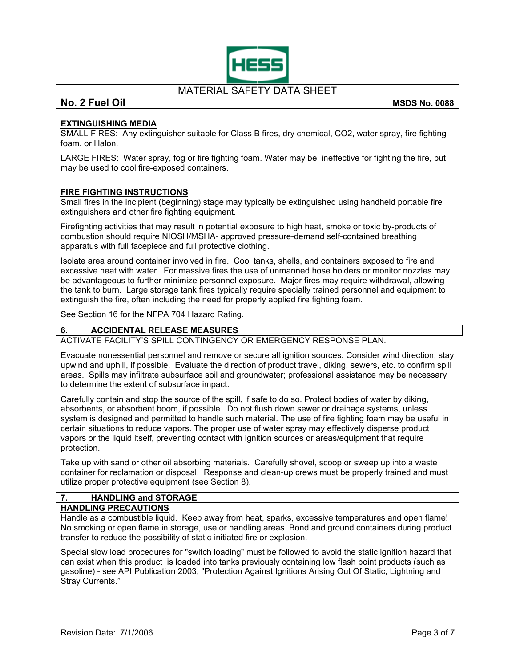

**No. 2 Fuel Oil MSDS No. 0088**

### **EXTINGUISHING MEDIA**

SMALL FIRES: Any extinguisher suitable for Class B fires, dry chemical, CO2, water spray, fire fighting foam, or Halon.

LARGE FIRES: Water spray, fog or fire fighting foam. Water may be ineffective for fighting the fire, but may be used to cool fire-exposed containers.

### **FIRE FIGHTING INSTRUCTIONS**

Small fires in the incipient (beginning) stage may typically be extinguished using handheld portable fire extinguishers and other fire fighting equipment.

Firefighting activities that may result in potential exposure to high heat, smoke or toxic by-products of combustion should require NIOSH/MSHA- approved pressure-demand self-contained breathing apparatus with full facepiece and full protective clothing.

Isolate area around container involved in fire. Cool tanks, shells, and containers exposed to fire and excessive heat with water. For massive fires the use of unmanned hose holders or monitor nozzles may be advantageous to further minimize personnel exposure. Major fires may require withdrawal, allowing the tank to burn. Large storage tank fires typically require specially trained personnel and equipment to extinguish the fire, often including the need for properly applied fire fighting foam.

See Section 16 for the NFPA 704 Hazard Rating.

### **6. ACCIDENTAL RELEASE MEASURES**

ACTIVATE FACILITY'S SPILL CONTINGENCY OR EMERGENCY RESPONSE PLAN.

Evacuate nonessential personnel and remove or secure all ignition sources. Consider wind direction; stay upwind and uphill, if possible. Evaluate the direction of product travel, diking, sewers, etc. to confirm spill areas. Spills may infiltrate subsurface soil and groundwater; professional assistance may be necessary to determine the extent of subsurface impact.

Carefully contain and stop the source of the spill, if safe to do so. Protect bodies of water by diking, absorbents, or absorbent boom, if possible. Do not flush down sewer or drainage systems, unless system is designed and permitted to handle such material. The use of fire fighting foam may be useful in certain situations to reduce vapors. The proper use of water spray may effectively disperse product vapors or the liquid itself, preventing contact with ignition sources or areas/equipment that require protection.

Take up with sand or other oil absorbing materials. Carefully shovel, scoop or sweep up into a waste container for reclamation or disposal. Response and clean-up crews must be properly trained and must utilize proper protective equipment (see Section 8).

### **7. HANDLING and STORAGE**

### **HANDLING PRECAUTIONS**

Handle as a combustible liquid. Keep away from heat, sparks, excessive temperatures and open flame! No smoking or open flame in storage, use or handling areas. Bond and ground containers during product transfer to reduce the possibility of static-initiated fire or explosion.

Special slow load procedures for "switch loading" must be followed to avoid the static ignition hazard that can exist when this product is loaded into tanks previously containing low flash point products (such as gasoline) - see API Publication 2003, "Protection Against Ignitions Arising Out Of Static, Lightning and Stray Currents."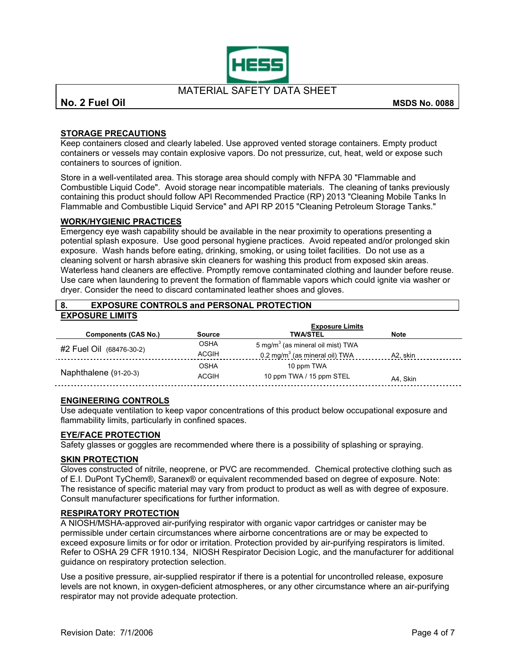

**No. 2 Fuel Oil** MSDS No. 0088

### **STORAGE PRECAUTIONS**

Keep containers closed and clearly labeled. Use approved vented storage containers. Empty product containers or vessels may contain explosive vapors. Do not pressurize, cut, heat, weld or expose such containers to sources of ignition.

Store in a well-ventilated area. This storage area should comply with NFPA 30 "Flammable and Combustible Liquid Code". Avoid storage near incompatible materials. The cleaning of tanks previously containing this product should follow API Recommended Practice (RP) 2013 "Cleaning Mobile Tanks In Flammable and Combustible Liquid Service" and API RP 2015 "Cleaning Petroleum Storage Tanks."

### **WORK/HYGIENIC PRACTICES**

Emergency eye wash capability should be available in the near proximity to operations presenting a potential splash exposure. Use good personal hygiene practices. Avoid repeated and/or prolonged skin exposure. Wash hands before eating, drinking, smoking, or using toilet facilities. Do not use as a cleaning solvent or harsh abrasive skin cleaners for washing this product from exposed skin areas. Waterless hand cleaners are effective. Promptly remove contaminated clothing and launder before reuse. Use care when laundering to prevent the formation of flammable vapors which could ignite via washer or dryer. Consider the need to discard contaminated leather shoes and gloves.

| <b>EXPOSURE CONTROLS and PERSONAL PROTECTION</b><br>-8. |                        |                                               |             |  |  |
|---------------------------------------------------------|------------------------|-----------------------------------------------|-------------|--|--|
| <b>EXPOSURE LIMITS</b>                                  |                        |                                               |             |  |  |
|                                                         | <b>Exposure Limits</b> |                                               |             |  |  |
| <b>Components (CAS No.)</b>                             | <b>Source</b>          | <b>TWA/STEL</b>                               | <b>Note</b> |  |  |
| #2 Fuel Oil (68476-30-2)                                | <b>OSHA</b>            | 5 mg/m <sup>3</sup> (as mineral oil mist) TWA |             |  |  |
|                                                         | <b>ACGIH</b>           | 0.2 mg/m $3$ (as mineral oil) TWA             | A2, skin    |  |  |
|                                                         | <b>OSHA</b>            | 10 ppm TWA                                    |             |  |  |
| Naphthalene (91-20-3)                                   | <b>ACGIH</b>           | 10 ppm TWA / 15 ppm STEL                      | A4. Skin    |  |  |

### **ENGINEERING CONTROLS**

Use adequate ventilation to keep vapor concentrations of this product below occupational exposure and flammability limits, particularly in confined spaces.

### **EYE/FACE PROTECTION**

Safety glasses or goggles are recommended where there is a possibility of splashing or spraying.

### **SKIN PROTECTION**

Gloves constructed of nitrile, neoprene, or PVC are recommended. Chemical protective clothing such as of E.I. DuPont TyChem®, Saranex® or equivalent recommended based on degree of exposure. Note: The resistance of specific material may vary from product to product as well as with degree of exposure. Consult manufacturer specifications for further information.

### **RESPIRATORY PROTECTION**

A NIOSH/MSHA-approved air-purifying respirator with organic vapor cartridges or canister may be permissible under certain circumstances where airborne concentrations are or may be expected to exceed exposure limits or for odor or irritation. Protection provided by air-purifying respirators is limited. Refer to OSHA 29 CFR 1910.134, NIOSH Respirator Decision Logic, and the manufacturer for additional guidance on respiratory protection selection.

Use a positive pressure, air-supplied respirator if there is a potential for uncontrolled release, exposure levels are not known, in oxygen-deficient atmospheres, or any other circumstance where an air-purifying respirator may not provide adequate protection.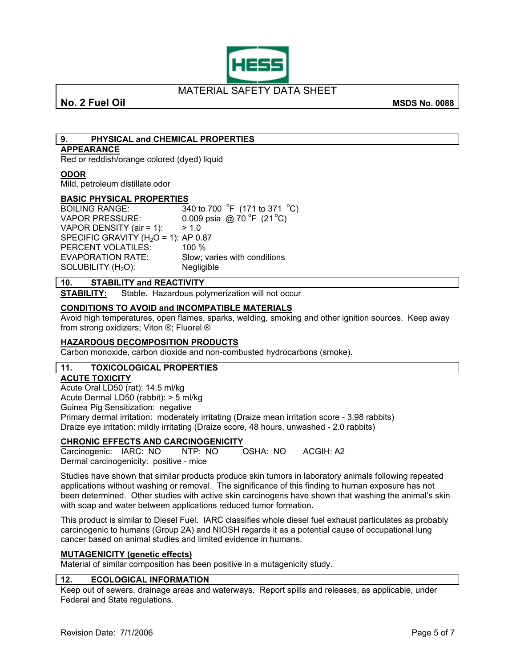

### **No. 2 Fuel Oil** MSDS No. 0088

## **9. PHYSICAL and CHEMICAL PROPERTIES**

### **APPEARANCE**

Red or reddish/orange colored (dyed) liquid

### **ODOR**

Mild, petroleum distillate odor

### **BASIC PHYSICAL PROPERTIES**

**BOILING RANGE:** F  $(171 \text{ to } 371 \text{ °C})$ VAPOR PRESSURE:  $0.009$  psia @ 70 °F (21 °C) VAPOR DENSITY (air = 1):  $> 1.0$ SPECIFIC GRAVITY ( $H<sub>2</sub>O = 1$ ): AP 0.87 PERCENT VOLATILES: 100 % EVAPORATION RATE: Slow; varies with conditions  $SOLUBILITY (H<sub>2</sub>O):$  Negligible

### **10. STABILITY and REACTIVITY**

**STABILITY:** Stable. Hazardous polymerization will not occur

### **CONDITIONS TO AVOID and INCOMPATIBLE MATERIALS**

Avoid high temperatures, open flames, sparks, welding, smoking and other ignition sources. Keep away from strong oxidizers; Viton ®; Fluorel ®

### **HAZARDOUS DECOMPOSITION PRODUCTS**

Carbon monoxide, carbon dioxide and non-combusted hydrocarbons (smoke).

### **11. TOXICOLOGICAL PROPERTIES**

### **ACUTE TOXICITY**

Acute Oral LD50 (rat): 14.5 ml/kg

Acute Dermal LD50 (rabbit): > 5 ml/kg

Guinea Pig Sensitization: negative

Primary dermal irritation: moderately irritating (Draize mean irritation score - 3.98 rabbits) Draize eye irritation: mildly irritating (Draize score, 48 hours, unwashed - 2.0 rabbits)

# **CHRONIC EFFECTS AND CARCINOGENICITY**

Carcinogenic: IARC: NO NTP: NO OSHA: NO ACGIH: A2 Dermal carcinogenicity: positive - mice

Studies have shown that similar products produce skin tumors in laboratory animals following repeated applications without washing or removal. The significance of this finding to human exposure has not been determined. Other studies with active skin carcinogens have shown that washing the animal's skin with soap and water between applications reduced tumor formation.

This product is similar to Diesel Fuel. IARC classifies whole diesel fuel exhaust particulates as probably carcinogenic to humans (Group 2A) and NIOSH regards it as a potential cause of occupational lung cancer based on animal studies and limited evidence in humans.

### **MUTAGENICITY (genetic effects)**

Material of similar composition has been positive in a mutagenicity study.

### **12. ECOLOGICAL INFORMATION**

Keep out of sewers, drainage areas and waterways. Report spills and releases, as applicable, under Federal and State regulations.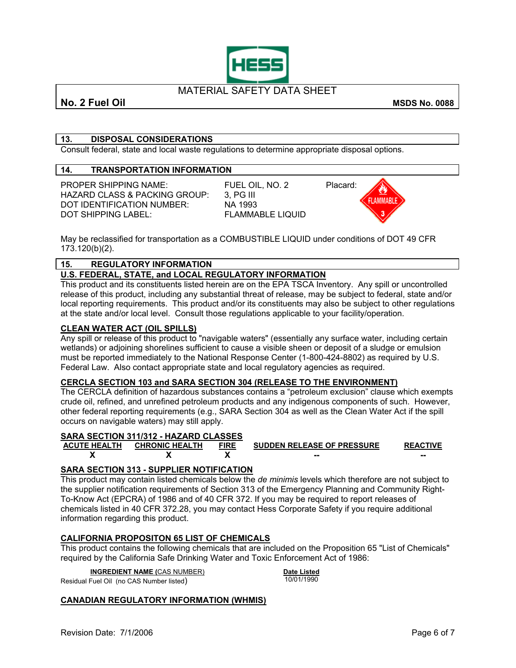

**No. 2 Fuel Oil** MSDS No. 0088

### **13. DISPOSAL CONSIDERATIONS**

Consult federal, state and local waste regulations to determine appropriate disposal options.

### **14. TRANSPORTATION INFORMATION**

PROPER SHIPPING NAME: FUEL OIL, NO. 2 Placard:<br>HAZARD CLASS & PACKING GROUP: 3. PG III HAZARD CLASS & PACKING GROUP: 3, PG III<br>DOT IDENTIFICATION NUMBER: NA 1993 DOT IDENTIFICATION NUMBER: DOT SHIPPING LABEL: FLAMMABLE LIQUID



May be reclassified for transportation as a COMBUSTIBLE LIQUID under conditions of DOT 49 CFR 173.120(b)(2).

### **15. REGULATORY INFORMATION**

### **U.S. FEDERAL, STATE, and LOCAL REGULATORY INFORMATION**

This product and its constituents listed herein are on the EPA TSCA Inventory. Any spill or uncontrolled release of this product, including any substantial threat of release, may be subject to federal, state and/or local reporting requirements. This product and/or its constituents may also be subject to other regulations at the state and/or local level. Consult those regulations applicable to your facility/operation.

### **CLEAN WATER ACT (OIL SPILLS)**

Any spill or release of this product to "navigable waters" (essentially any surface water, including certain wetlands) or adjoining shorelines sufficient to cause a visible sheen or deposit of a sludge or emulsion must be reported immediately to the National Response Center (1-800-424-8802) as required by U.S. Federal Law. Also contact appropriate state and local regulatory agencies as required.

### **CERCLA SECTION 103 and SARA SECTION 304 (RELEASE TO THE ENVIRONMENT)**

The CERCLA definition of hazardous substances contains a "petroleum exclusion" clause which exempts crude oil, refined, and unrefined petroleum products and any indigenous components of such. However, other federal reporting requirements (e.g., SARA Section 304 as well as the Clean Water Act if the spill occurs on navigable waters) may still apply.

### **SARA SECTION 311/312 - HAZARD CLASSES**

| ACUTE HEALTH CHRONIC HEALTH | <b>FIRE</b> | <b>SUDDEN RELEASE OF PRESSURE</b> | <b>REACTIVE</b> |
|-----------------------------|-------------|-----------------------------------|-----------------|
|                             |             | --                                | --              |

### **SARA SECTION 313 - SUPPLIER NOTIFICATION**

This product may contain listed chemicals below the *de minimis* levels which therefore are not subject to the supplier notification requirements of Section 313 of the Emergency Planning and Community Right-To-Know Act (EPCRA) of 1986 and of 40 CFR 372. If you may be required to report releases of chemicals listed in 40 CFR 372.28, you may contact Hess Corporate Safety if you require additional information regarding this product.

### **CALIFORNIA PROPOSITON 65 LIST OF CHEMICALS**

This product contains the following chemicals that are included on the Proposition 65 "List of Chemicals" required by the California Safe Drinking Water and Toxic Enforcement Act of 1986:

**INGREDIENT NAME (**CAS NUMBER) **Date Listed**

Residual Fuel Oil (no CAS Number listed)

### **CANADIAN REGULATORY INFORMATION (WHMIS)**